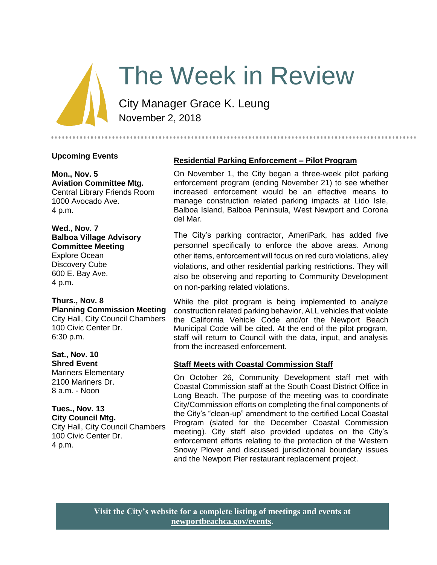# The Week in Review

City Manager Grace K. Leung November 2, 2018

## **Upcoming Events**

#### **Mon., Nov. 5 Aviation Committee Mtg.**

Central Library Friends Room 1000 Avocado Ave. 4 p.m.

#### **Wed., Nov. 7 Balboa Village Advisory Committee Meeting** Explore Ocean

Discovery Cube 600 E. Bay Ave. 4 p.m.

#### **Thurs., Nov. 8 Planning Commission Meeting** City Hall, City Council Chambers

100 Civic Center Dr. 6:30 p.m.

# **Sat., Nov. 10**

**Shred Event** Mariners Elementary 2100 Mariners Dr. 8 a.m. - Noon

# **Tues., Nov. 13**

**City Council Mtg.** City Hall, City Council Chambers 100 Civic Center Dr. 4 p.m.

# **Residential Parking Enforcement – Pilot Program**

On November 1, the City began a three-week pilot parking enforcement program (ending November 21) to see whether increased enforcement would be an effective means to manage construction related parking impacts at Lido Isle, Balboa Island, Balboa Peninsula, West Newport and Corona del Mar.

The City's parking contractor, AmeriPark, has added five personnel specifically to enforce the above areas. Among other items, enforcement will focus on red curb violations, alley violations, and other residential parking restrictions. They will also be observing and reporting to Community Development on non-parking related violations.

While the pilot program is being implemented to analyze construction related parking behavior, ALL vehicles that violate the California Vehicle Code and/or the Newport Beach Municipal Code will be cited. At the end of the pilot program, staff will return to Council with the data, input, and analysis from the increased enforcement.

# **Staff Meets with Coastal Commission Staff**

On October 26, Community Development staff met with Coastal Commission staff at the South Coast District Office in Long Beach. The purpose of the meeting was to coordinate City/Commission efforts on completing the final components of the City's "clean-up" amendment to the certified Local Coastal Program (slated for the December Coastal Commission meeting). City staff also provided updates on the City's enforcement efforts relating to the protection of the Western Snowy Plover and discussed jurisdictional boundary issues and the Newport Pier restaurant replacement project.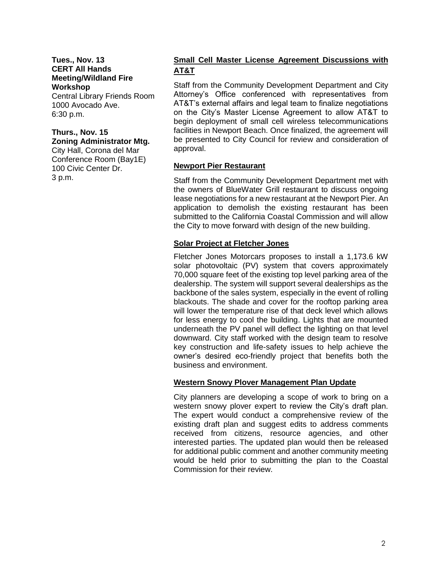**Tues., Nov. 13 CERT All Hands Meeting/Wildland Fire Workshop**

Central Library Friends Room 1000 Avocado Ave. 6:30 p.m.

# **Thurs., Nov. 15**

**Zoning Administrator Mtg.**

City Hall, Corona del Mar Conference Room (Bay1E) 100 Civic Center Dr. 3 p.m.

# **Small Cell Master License Agreement Discussions with AT&T**

Staff from the Community Development Department and City Attorney's Office conferenced with representatives from AT&T's external affairs and legal team to finalize negotiations on the City's Master License Agreement to allow AT&T to begin deployment of small cell wireless telecommunications facilities in Newport Beach. Once finalized, the agreement will be presented to City Council for review and consideration of approval.

## **Newport Pier Restaurant**

Staff from the Community Development Department met with the owners of BlueWater Grill restaurant to discuss ongoing lease negotiations for a new restaurant at the Newport Pier. An application to demolish the existing restaurant has been submitted to the California Coastal Commission and will allow the City to move forward with design of the new building.

## **Solar Project at Fletcher Jones**

Fletcher Jones Motorcars proposes to install a 1,173.6 kW solar photovoltaic (PV) system that covers approximately 70,000 square feet of the existing top level parking area of the dealership. The system will support several dealerships as the backbone of the sales system, especially in the event of rolling blackouts. The shade and cover for the rooftop parking area will lower the temperature rise of that deck level which allows for less energy to cool the building. Lights that are mounted underneath the PV panel will deflect the lighting on that level downward. City staff worked with the design team to resolve key construction and life-safety issues to help achieve the owner's desired eco-friendly project that benefits both the business and environment.

## **Western Snowy Plover Management Plan Update**

City planners are developing a scope of work to bring on a western snowy plover expert to review the City's draft plan. The expert would conduct a comprehensive review of the existing draft plan and suggest edits to address comments received from citizens, resource agencies, and other interested parties. The updated plan would then be released for additional public comment and another community meeting would be held prior to submitting the plan to the Coastal Commission for their review.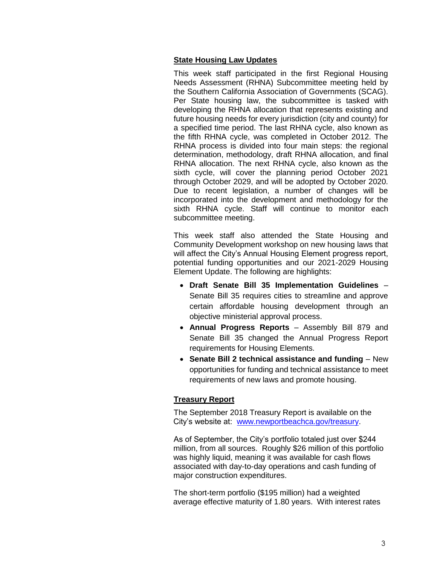## **State Housing Law Updates**

This week staff participated in the first Regional Housing Needs Assessment (RHNA) Subcommittee meeting held by the Southern California Association of Governments (SCAG). Per State housing law, the subcommittee is tasked with developing the RHNA allocation that represents existing and future housing needs for every jurisdiction (city and county) for a specified time period. The last RHNA cycle, also known as the fifth RHNA cycle, was completed in October 2012. The RHNA process is divided into four main steps: the regional determination, methodology, draft RHNA allocation, and final RHNA allocation. The next RHNA cycle, also known as the sixth cycle, will cover the planning period October 2021 through October 2029, and will be adopted by October 2020. Due to recent legislation, a number of changes will be incorporated into the development and methodology for the sixth RHNA cycle. Staff will continue to monitor each subcommittee meeting.

This week staff also attended the State Housing and Community Development workshop on new housing laws that will affect the City's Annual Housing Element progress report, potential funding opportunities and our 2021-2029 Housing Element Update. The following are highlights:

- **Draft Senate Bill 35 Implementation Guidelines** Senate Bill 35 requires cities to streamline and approve certain affordable housing development through an objective ministerial approval process.
- **Annual Progress Reports** Assembly Bill 879 and Senate Bill 35 changed the Annual Progress Report requirements for Housing Elements.
- **Senate Bill 2 technical assistance and funding** New opportunities for funding and technical assistance to meet requirements of new laws and promote housing.

# **Treasury Report**

The September 2018 Treasury Report is available on the City's website at: [www.newportbeachca.gov/treasury.](http://www.newportbeachca.gov/treasury)

As of September, the City's portfolio totaled just over \$244 million, from all sources. Roughly \$26 million of this portfolio was highly liquid, meaning it was available for cash flows associated with day-to-day operations and cash funding of major construction expenditures.

The short-term portfolio (\$195 million) had a weighted average effective maturity of 1.80 years. With interest rates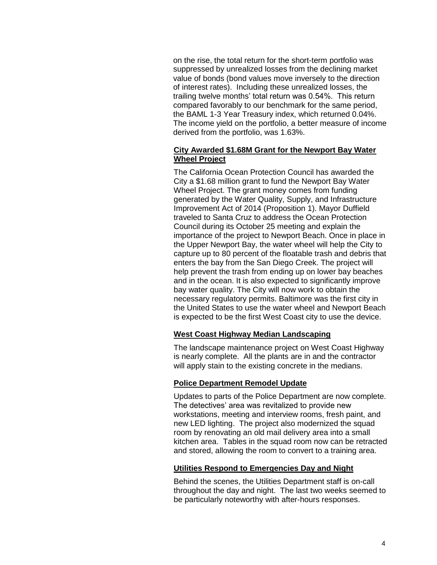on the rise, the total return for the short-term portfolio was suppressed by unrealized losses from the declining market value of bonds (bond values move inversely to the direction of interest rates). Including these unrealized losses, the trailing twelve months' total return was 0.54%. This return compared favorably to our benchmark for the same period, the BAML 1-3 Year Treasury index, which returned 0.04%. The income yield on the portfolio, a better measure of income derived from the portfolio, was 1.63%.

## **City Awarded \$1.68M Grant for the Newport Bay Water Wheel Project**

The California Ocean Protection Council has awarded the City a \$1.68 million grant to fund the Newport Bay Water Wheel Project. The grant money comes from funding generated by the Water Quality, Supply, and Infrastructure Improvement Act of 2014 (Proposition 1). Mayor Duffield traveled to Santa Cruz to address the Ocean Protection Council during its October 25 meeting and explain the importance of the project to Newport Beach. Once in place in the Upper Newport Bay, the water wheel will help the City to capture up to 80 percent of the floatable trash and debris that enters the bay from the San Diego Creek. The project will help prevent the trash from ending up on lower bay beaches and in the ocean. It is also expected to significantly improve bay water quality. The City will now work to obtain the necessary regulatory permits. Baltimore was the first city in the United States to use the water wheel and Newport Beach is expected to be the first West Coast city to use the device.

#### **West Coast Highway Median Landscaping**

The landscape maintenance project on West Coast Highway is nearly complete. All the plants are in and the contractor will apply stain to the existing concrete in the medians.

#### **Police Department Remodel Update**

Updates to parts of the Police Department are now complete. The detectives' area was revitalized to provide new workstations, meeting and interview rooms, fresh paint, and new LED lighting. The project also modernized the squad room by renovating an old mail delivery area into a small kitchen area. Tables in the squad room now can be retracted and stored, allowing the room to convert to a training area.

## **Utilities Respond to Emergencies Day and Night**

Behind the scenes, the Utilities Department staff is on-call throughout the day and night. The last two weeks seemed to be particularly noteworthy with after-hours responses.